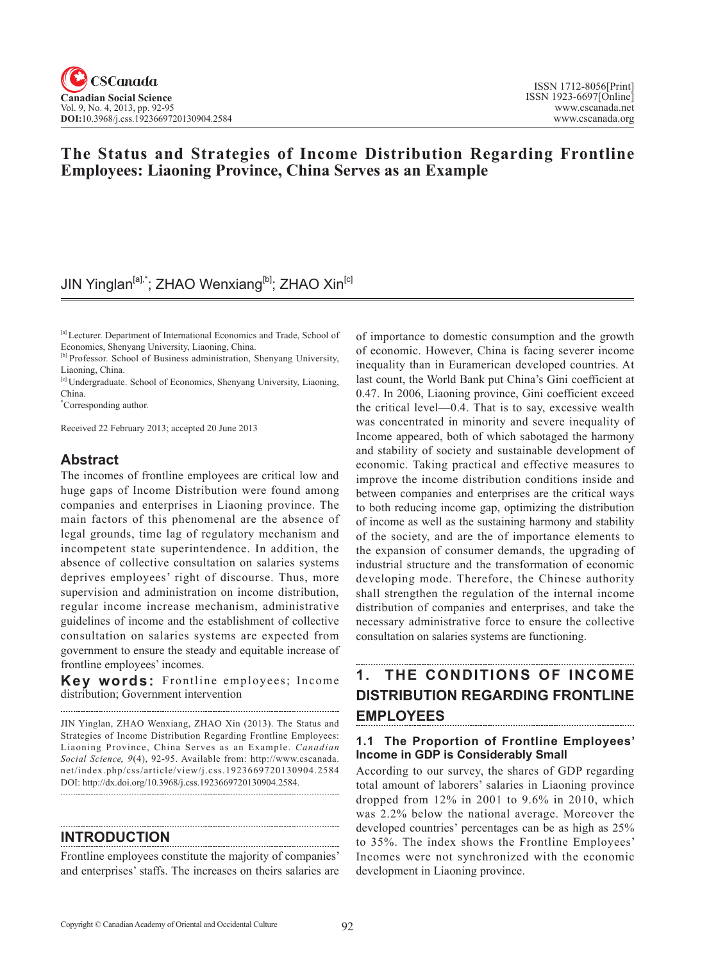JIN Yinglan<sup>[a],\*</sup>; ZHAO Wenxiang<sup>[b]</sup>; ZHAO Xin<sup>[c]</sup>

<sup>[a]</sup> Lecturer. Department of International Economics and Trade, School of Economics, Shenyang University, Liaoning, China.

[c] Undergraduate. School of Economics, Shenyang University, Liaoning, China.

\* Corresponding author.

Received 22 February 2013; accepted 20 June 2013

## **Abstract**

The incomes of frontline employees are critical low and huge gaps of Income Distribution were found among companies and enterprises in Liaoning province. The main factors of this phenomenal are the absence of legal grounds, time lag of regulatory mechanism and incompetent state superintendence. In addition, the absence of collective consultation on salaries systems deprives employees' right of discourse. Thus, more supervision and administration on income distribution, regular income increase mechanism, administrative guidelines of income and the establishment of collective consultation on salaries systems are expected from government to ensure the steady and equitable increase of frontline employees' incomes.

**Key words:** Frontline employees; Income distribution; Government intervention

JIN Yinglan, ZHAO Wenxiang, ZHAO Xin (2013). The Status and Strategies of Income Distribution Regarding Frontline Employees: Liaoning Province, China Serves as an Example. *Canadian Social Science*, 9(4), 92-95. Available from: http://www.cscanada. net/index.php/css/article/view/j.css.1923669720130904.2584 DOI: http://dx.doi.org/10.3968/j.css.1923669720130904.2584.

#### **INTRODUCTION**

Frontline employees constitute the majority of companies' and enterprises' staffs. The increases on theirs salaries are

of importance to domestic consumption and the growth of economic. However, China is facing severer income inequality than in Euramerican developed countries. At last count, the World Bank put China's Gini coefficient at 0.47. In 2006, Liaoning province, Gini coefficient exceed the critical level—0.4. That is to say, excessive wealth was concentrated in minority and severe inequality of Income appeared, both of which sabotaged the harmony and stability of society and sustainable development of economic. Taking practical and effective measures to improve the income distribution conditions inside and between companies and enterprises are the critical ways to both reducing income gap, optimizing the distribution of income as well as the sustaining harmony and stability of the society, and are the of importance elements to the expansion of consumer demands, the upgrading of industrial structure and the transformation of economic developing mode. Therefore, the Chinese authority shall strengthen the regulation of the internal income distribution of companies and enterprises, and take the necessary administrative force to ensure the collective consultation on salaries systems are functioning.

## **1. THE CONDITIONS OF INCOME DISTRIBUTION REGARDING FRONTLINE EMPLOYEES**

#### **1.1 The Proportion of Frontline Employees' Income in GDP is Considerably Small**

According to our survey, the shares of GDP regarding total amount of laborers' salaries in Liaoning province dropped from 12% in 2001 to 9.6% in 2010, which was 2.2% below the national average. Moreover the developed countries' percentages can be as high as 25% to 35%. The index shows the Frontline Employees' Incomes were not synchronized with the economic development in Liaoning province.

## **The Status and Strategies of Income Distribution Regarding Frontline Employees: Liaoning Province, China Serves as an Example**

<sup>[</sup>b] Professor. School of Business administration, Shenyang University, Liaoning, China.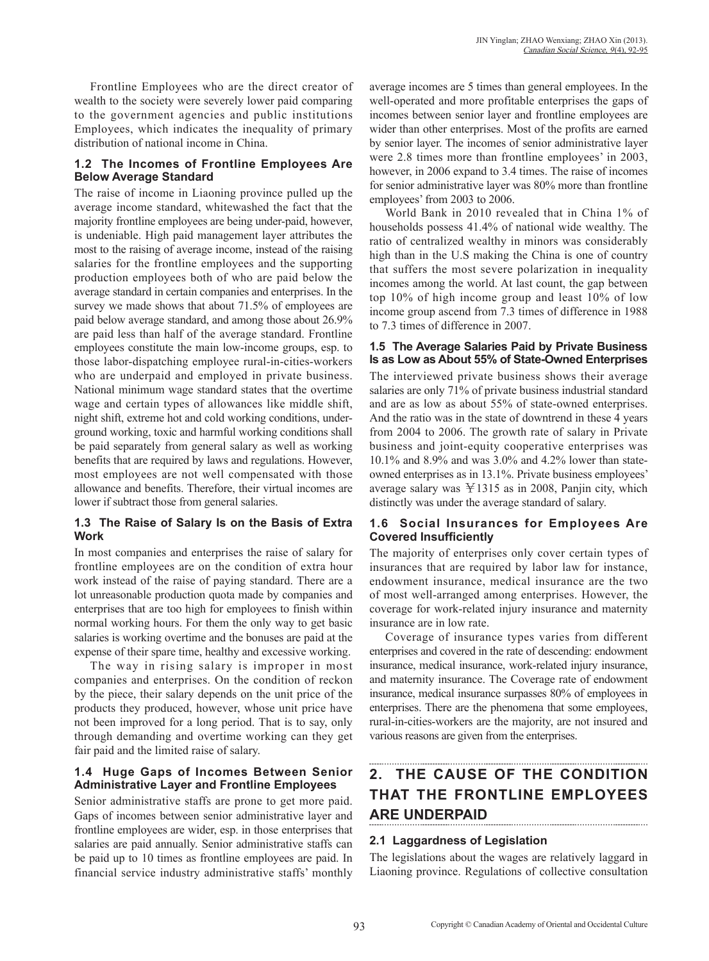Frontline Employees who are the direct creator of wealth to the society were severely lower paid comparing to the government agencies and public institutions Employees, which indicates the inequality of primary distribution of national income in China.

### **1.2 The Incomes of Frontline Employees Are Below Average Standard**

The raise of income in Liaoning province pulled up the average income standard, whitewashed the fact that the majority frontline employees are being under-paid, however, is undeniable. High paid management layer attributes the most to the raising of average income, instead of the raising salaries for the frontline employees and the supporting production employees both of who are paid below the average standard in certain companies and enterprises. In the survey we made shows that about 71.5% of employees are paid below average standard, and among those about 26.9% are paid less than half of the average standard. Frontline employees constitute the main low-income groups, esp. to those labor-dispatching employee rural-in-cities-workers who are underpaid and employed in private business. National minimum wage standard states that the overtime wage and certain types of allowances like middle shift, night shift, extreme hot and cold working conditions, underground working, toxic and harmful working conditions shall be paid separately from general salary as well as working benefits that are required by laws and regulations. However, most employees are not well compensated with those allowance and benefits. Therefore, their virtual incomes are lower if subtract those from general salaries.

### **1.3 The Raise of Salary Is on the Basis of Extra Work**

In most companies and enterprises the raise of salary for frontline employees are on the condition of extra hour work instead of the raise of paying standard. There are a lot unreasonable production quota made by companies and enterprises that are too high for employees to finish within normal working hours. For them the only way to get basic salaries is working overtime and the bonuses are paid at the expense of their spare time, healthy and excessive working.

The way in rising salary is improper in most companies and enterprises. On the condition of reckon by the piece, their salary depends on the unit price of the products they produced, however, whose unit price have not been improved for a long period. That is to say, only through demanding and overtime working can they get fair paid and the limited raise of salary.

### **1.4 Huge Gaps of Incomes Between Senior Administrative Layer and Frontline Employees**

Senior administrative staffs are prone to get more paid. Gaps of incomes between senior administrative layer and frontline employees are wider, esp. in those enterprises that salaries are paid annually. Senior administrative staffs can be paid up to 10 times as frontline employees are paid. In financial service industry administrative staffs' monthly average incomes are 5 times than general employees. In the well-operated and more profitable enterprises the gaps of incomes between senior layer and frontline employees are wider than other enterprises. Most of the profits are earned by senior layer. The incomes of senior administrative layer were 2.8 times more than frontline employees' in 2003, however, in 2006 expand to 3.4 times. The raise of incomes for senior administrative layer was 80% more than frontline employees' from 2003 to 2006.

World Bank in 2010 revealed that in China 1% of households possess 41.4% of national wide wealthy. The ratio of centralized wealthy in minors was considerably high than in the U.S making the China is one of country that suffers the most severe polarization in inequality incomes among the world. At last count, the gap between top 10% of high income group and least 10% of low income group ascend from 7.3 times of difference in 1988 to 7.3 times of difference in 2007.

## **1.5 The Average Salaries Paid by Private Business Is as Low as About 55% of State-Owned Enterprises**

The interviewed private business shows their average salaries are only 71% of private business industrial standard and are as low as about 55% of state-owned enterprises. And the ratio was in the state of downtrend in these 4 years from 2004 to 2006. The growth rate of salary in Private business and joint-equity cooperative enterprises was 10.1% and 8.9% and was 3.0% and 4.2% lower than stateowned enterprises as in 13.1%. Private business employees' average salary was  $\text{\yen}1315$  as in 2008, Panjin city, which distinctly was under the average standard of salary.

#### **1.6 Social Insurances for Employees Are Covered Insufficiently**

The majority of enterprises only cover certain types of insurances that are required by labor law for instance, endowment insurance, medical insurance are the two of most well-arranged among enterprises. However, the coverage for work-related injury insurance and maternity insurance are in low rate.

Coverage of insurance types varies from different enterprises and covered in the rate of descending: endowment insurance, medical insurance, work-related injury insurance, and maternity insurance. The Coverage rate of endowment insurance, medical insurance surpasses 80% of employees in enterprises. There are the phenomena that some employees, rural-in-cities-workers are the majority, are not insured and various reasons are given from the enterprises.

# **2. THE CAUSE OF THE CONDITION THAT THE FRONTLINE EMPLOYEES ARE UNDERPAID**

## **2.1 Laggardness of Legislation**

The legislations about the wages are relatively laggard in Liaoning province. Regulations of collective consultation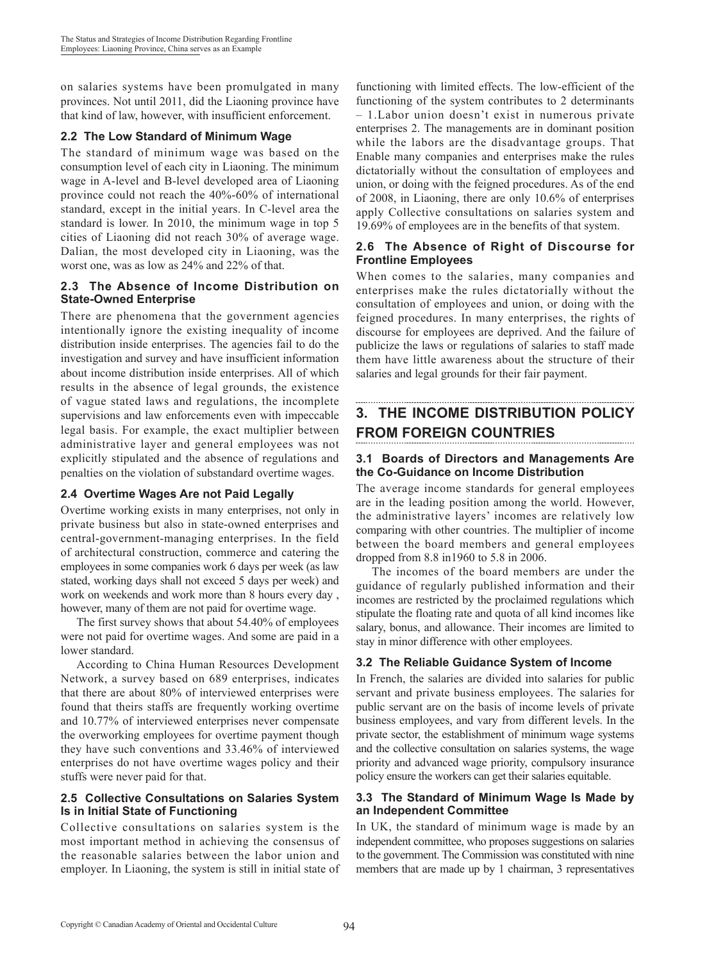on salaries systems have been promulgated in many provinces. Not until 2011, did the Liaoning province have that kind of law, however, with insufficient enforcement.

## **2.2 The Low Standard of Minimum Wage**

The standard of minimum wage was based on the consumption level of each city in Liaoning. The minimum wage in A-level and B-level developed area of Liaoning province could not reach the 40%-60% of international standard, except in the initial years. In C-level area the standard is lower. In 2010, the minimum wage in top 5 cities of Liaoning did not reach 30% of average wage. Dalian, the most developed city in Liaoning, was the worst one, was as low as 24% and 22% of that.

#### **2.3 The Absence of Income Distribution on State-Owned Enterprise**

There are phenomena that the government agencies intentionally ignore the existing inequality of income distribution inside enterprises. The agencies fail to do the investigation and survey and have insufficient information about income distribution inside enterprises. All of which results in the absence of legal grounds, the existence of vague stated laws and regulations, the incomplete supervisions and law enforcements even with impeccable legal basis. For example, the exact multiplier between administrative layer and general employees was not explicitly stipulated and the absence of regulations and penalties on the violation of substandard overtime wages.

## **2.4 Overtime Wages Are not Paid Legally**

Overtime working exists in many enterprises, not only in private business but also in state-owned enterprises and central-government-managing enterprises. In the field of architectural construction, commerce and catering the employees in some companies work 6 days per week (as law stated, working days shall not exceed 5 days per week) and work on weekends and work more than 8 hours every day , however, many of them are not paid for overtime wage.

The first survey shows that about 54.40% of employees were not paid for overtime wages. And some are paid in a lower standard.

According to China Human Resources Development Network, a survey based on 689 enterprises, indicates that there are about 80% of interviewed enterprises were found that theirs staffs are frequently working overtime and 10.77% of interviewed enterprises never compensate the overworking employees for overtime payment though they have such conventions and 33.46% of interviewed enterprises do not have overtime wages policy and their stuffs were never paid for that.

#### **2.5 Collective Consultations on Salaries System Is in Initial State of Functioning**

Collective consultations on salaries system is the most important method in achieving the consensus of the reasonable salaries between the labor union and employer. In Liaoning, the system is still in initial state of

functioning with limited effects. The low-efficient of the functioning of the system contributes to 2 determinants – 1.Labor union doesn't exist in numerous private enterprises 2. The managements are in dominant position while the labors are the disadvantage groups. That Enable many companies and enterprises make the rules dictatorially without the consultation of employees and union, or doing with the feigned procedures. As of the end of 2008, in Liaoning, there are only 10.6% of enterprises apply Collective consultations on salaries system and 19.69% of employees are in the benefits of that system.

## **2.6 The Absence of Right of Discourse for Frontline Employees**

When comes to the salaries, many companies and enterprises make the rules dictatorially without the consultation of employees and union, or doing with the feigned procedures. In many enterprises, the rights of discourse for employees are deprived. And the failure of publicize the laws or regulations of salaries to staff made them have little awareness about the structure of their salaries and legal grounds for their fair payment.

# **3. THE INCOME DISTRIBUTION POLICY FROM FOREIGN COUNTRIES**

#### **3.1 Boards of Directors and Managements Are the Co-Guidance on Income Distribution**

The average income standards for general employees are in the leading position among the world. However, the administrative layers' incomes are relatively low comparing with other countries. The multiplier of income between the board members and general employees dropped from 8.8 in1960 to 5.8 in 2006.

The incomes of the board members are under the guidance of regularly published information and their incomes are restricted by the proclaimed regulations which stipulate the floating rate and quota of all kind incomes like salary, bonus, and allowance. Their incomes are limited to stay in minor difference with other employees.

## **3.2 The Reliable Guidance System of Income**

In French, the salaries are divided into salaries for public servant and private business employees. The salaries for public servant are on the basis of income levels of private business employees, and vary from different levels. In the private sector, the establishment of minimum wage systems and the collective consultation on salaries systems, the wage priority and advanced wage priority, compulsory insurance policy ensure the workers can get their salaries equitable.

#### **3.3 The Standard of Minimum Wage Is Made by an Independent Committee**

In UK, the standard of minimum wage is made by an independent committee, who proposes suggestions on salaries to the government. The Commission was constituted with nine members that are made up by 1 chairman, 3 representatives